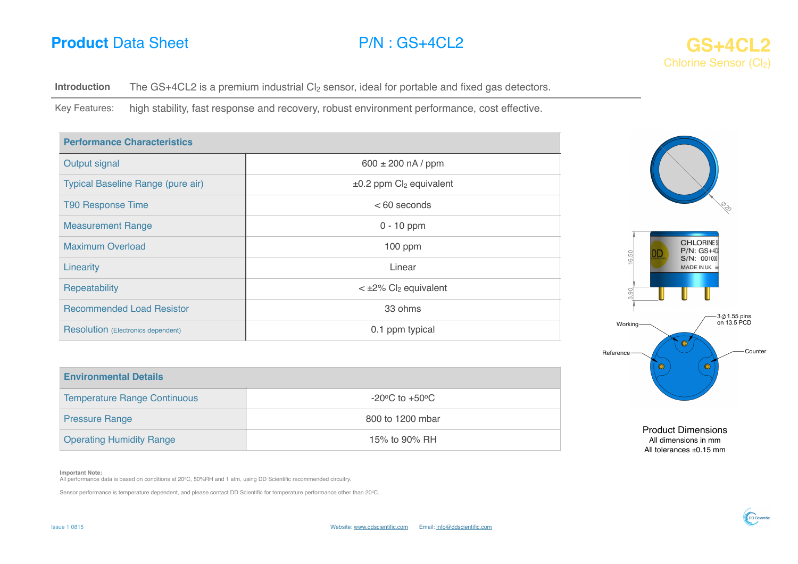# **Product** Data Sheet **P/N** : GS+4CL2 **GS+4CL2 GS+4CL2**



**Introduction** The GS+4CL2 is a premium industrial Cl<sub>2</sub> sensor, ideal for portable and fixed gas detectors.

Key Features: high stability, fast response and recovery, robust environment performance, cost effective.

| <b>Performance Characteristics</b>        |                                                      |  |
|-------------------------------------------|------------------------------------------------------|--|
| Output signal                             | $600 \pm 200$ nA / ppm                               |  |
| Typical Baseline Range (pure air)         | ±0.2 ppm Cl <sub>2</sub> equivalent                  |  |
| <b>T90 Response Time</b>                  | $< 60$ seconds                                       |  |
| <b>Measurement Range</b>                  | $0 - 10$ ppm                                         |  |
| <b>Maximum Overload</b>                   | 100 ppm                                              |  |
| Linearity                                 | Linear                                               |  |
| Repeatability                             | $\langle \pm 2\% \rangle$ Cl <sub>2</sub> equivalent |  |
| <b>Recommended Load Resistor</b>          | 33 ohms                                              |  |
| <b>Resolution</b> (Electronics dependent) | 0.1 ppm typical                                      |  |



All dimensions in mm All tolerances ±0.15 mm

Temperature Range Continuous and all the continuous of the continuous of the contract of the contract of the contract of the contract of the contract of the contract of the contract of the contract of the contract of the c Pressure Range 800 to 1200 mbar Operating Humidity Range 15% to 90% RH

### **Important Note:**

**Environmental Details**

All performance data is based on conditions at 20°C, 50%RH and 1 atm, using DD Scientific recommended circuitry.

Sensor performance is temperature dependent, and please contact DD Scientific for temperature performance other than 20oC.